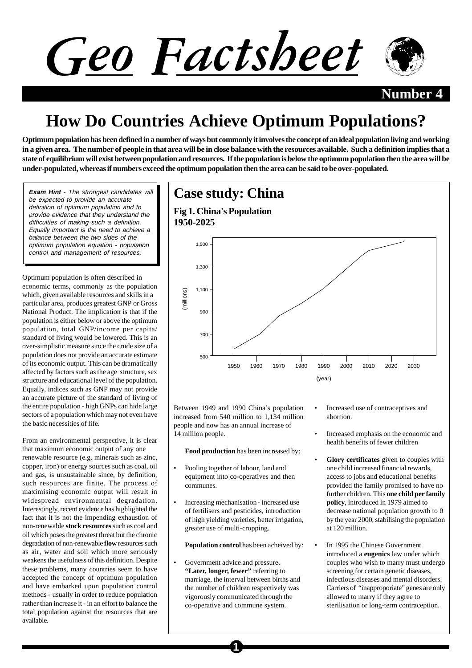



# **How Do Countries Achieve Optimum Populations?**

**Optimum population has been defined in a number of ways but commonly it involves the concept of an ideal population living and working in a given area. The number of people in that area will be in close balance with the resources available. Such a definition implies that a state of equilibrium will exist between population and resources. If the population is below the optimum population then the area will be under-populated, whereas if numbers exceed the optimum population then the area can be said to be over-populated.**

**Exam Hint** - The strongest candidates will be expected to provide an accurate definition of optimum population and to provide evidence that they understand the difficulties of making such a definition. Equally important is the need to achieve a balance between the two sides of the optimum population equation - population control and management of resources.

Optimum population is often described in economic terms, commonly as the population which, given available resources and skills in a particular area, produces greatest GNP or Gross National Product. The implication is that if the population is either below or above the optimum population, total GNP/income per capita/ standard of living would be lowered. This is an over-simplistic measure since the crude size of a population does not provide an accurate estimate of its economic output. This can be dramatically affected by factors such as the age structure, sex structure and educational level of the population. Equally, indices such as GNP may not provide an accurate picture of the standard of living of the entire population - high GNPs can hide large sectors of a population which may not even have the basic necessities of life.

From an environmental perspective, it is clear that maximum economic output of any one renewable resource (e.g. minerals such as zinc, copper, iron) or energy sources such as coal, oil and gas, is unsustainable since, by definition, such resources are finite. The process of maximising economic output will result in widespread environmental degradation. Interestingly, recent evidence has highlighted the fact that it is not the impending exhaustion of non-renewable **stock resources** such as coal and oil which poses the greatest threat but the chronic degradation of non-renewable **flow** resources such as air, water and soil which more seriously weakens the usefulness of this definition. Despite these problems, many countries seem to have accepted the concept of optimum population and have embarked upon population control methods - usually in order to reduce population rather than increase it - in an effort to balance the total population against the resources that are available.



Between 1949 and 1990 China's population increased from 540 million to 1,134 million people and now has an annual increase of 14 million people.

**Food production** has been increased by:

- Pooling together of labour, land and equipment into co-operatives and then communes.
- Increasing mechanisation increased use of fertilisers and pesticides, introduction of high yielding varieties, better irrigation, greater use of multi-cropping.

**Population control** has been acheived by:

Government advice and pressure, **"Later, longer, fewer"** referring to marriage, the interval between births and the number of children respectively was vigorously communicated through the co-operative and commune system.

**1**

- Increased use of contraceptives and abortion.
- Increased emphasis on the economic and health benefits of fewer children
- **Glory certificates** given to couples with one child increased financial rewards, access to jobs and educational benefits provided the family promised to have no further children. This **one child per family policy**, introduced in 1979 aimed to decrease national population growth to 0 by the year 2000, stabilising the population at 120 million.
- In 1995 the Chinese Government introduced a **eugenics** law under which couples who wish to marry must undergo screening for certain genetic diseases, infectious diseases and mental disorders. Carriers of "inapproporiate" genes are only allowed to marry if they agree to sterilisation or long-term contraception.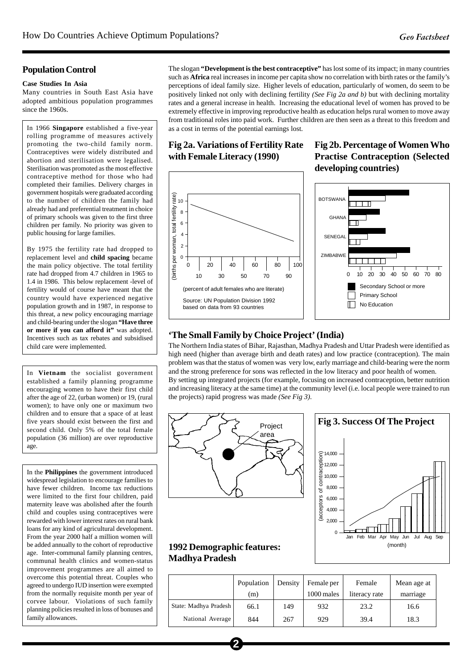#### **Population Control**

#### **Case Studies In Asia**

Many countries in South East Asia have adopted ambitious population programmes since the 1960s.

In 1966 **Singapore** established a five-year rolling programme of measures actively promoting the two-child family norm. Contraceptives were widely distributed and abortion and sterilisation were legalised. Sterilisation was promoted as the most effective contraceptive method for those who had completed their families. Delivery charges in government hospitals were graduated according to the number of children the family had already had and preferential treatment in choice of primary schools was given to the first three children per family. No priority was given to public housing for large families.

By 1975 the fertility rate had dropped to replacement level and **child spacing** became the main policy objective. The total fertility rate had dropped from 4.7 children in 1965 to 1.4 in 1986. This below replacement -level of fertility would of course have meant that the country would have experienced negative population growth and in 1987, in response to this threat, a new policy encouraging marriage and child-bearing under the slogan **"Have three or more if you can afford it"** was adopted. Incentives such as tax rebates and subsidised child care were implemented.

In **Vietnam** the socialist government established a family planning programme encouraging women to have their first child after the age of 22, (urban women) or 19, (rural women); to have only one or maximum two children and to ensure that a space of at least five years should exist between the first and second child. Only 5% of the total female population (36 million) are over reproductive age.

In the **Philippines** the government introduced widespread legislation to encourage families to have fewer children. Income tax reductions were limited to the first four children, paid maternity leave was abolished after the fourth child and couples using contraceptives were rewarded with lower interest rates on rural bank loans for any kind of agricultural development. From the year 2000 half a million women will be added annually to the cohort of reproductive age. Inter-communal family planning centres, communal health clinics and women-status improvement programmes are all aimed to overcome this potential threat. Couples who agreed to undergo IUD insertion were exempted from the normally requisite month per year of corvee labour. Violations of such family planning policies resulted in loss of bonuses and family allowances.

The slogan **"Development is the best contraceptive"** has lost some of its impact; in many countries such as **Africa** real increases in income per capita show no correlation with birth rates or the family's perceptions of ideal family size. Higher levels of education, particularly of women, do seem to be positively linked not only with declining fertility *(See Fig 2a and b)* but with declining mortality rates and a general increase in health. Increasing the educational level of women has proved to be extremely effective in improving reproductive health as education helps rural women to move away from traditional roles into paid work. Further children are then seen as a threat to this freedom and as a cost in terms of the potential earnings lost.

### **Fig 2a. Variations of Fertility Rate with Female Literacy (1990)**



## **Fig 2b. Percentage of Women Who Practise Contraception (Selected developing countries)**



#### **'The Small Family by Choice Project' (India)**

The Northern India states of Bihar, Rajasthan, Madhya Pradesh and Uttar Pradesh were identified as high need (higher than average birth and death rates) and low practice (contraception). The main problem was that the status of women was very low, early marriage and child-bearing were the norm and the strong preference for sons was reflected in the low literacy and poor health of women. By setting up integrated projects (for example, focusing on increased contraception, better nutrition and increasing literacy at the same time) at the community level (i.e. local people were trained to run the projects) rapid progress was made *(See Fig 3)*.





#### **1992 Demographic features: Madhya Pradesh**

|                       | Population<br>(m) | Density | Female per<br>1000 males | Female<br>literacy rate | Mean age at<br>marriage |
|-----------------------|-------------------|---------|--------------------------|-------------------------|-------------------------|
| State: Madhya Pradesh | 66.1              | 149     | 932                      | 23.2                    | 16.6                    |
| National Average      | 844               | 267     | 929                      | 39.4                    | 18.3                    |